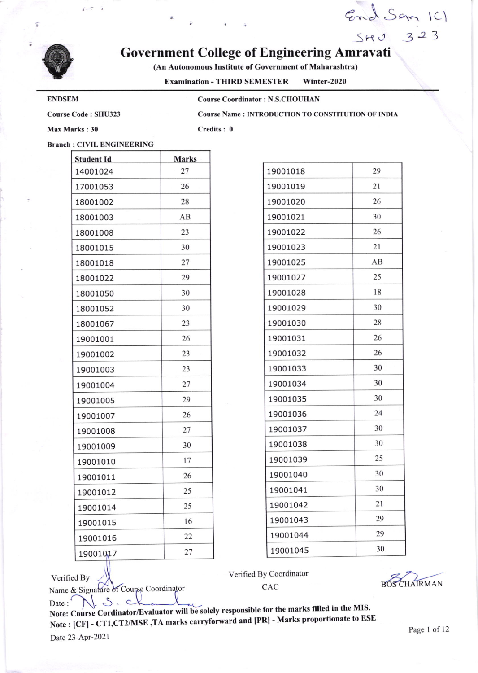

ă

# Government College of Engineering Amravati

(An Autonomous Institute of Government of Maharashtra)

Examination - THIRD SEMESTER Winter-2020

## ENDSEM

Course Coordinator : N.S.CHOUHAN

Course Code : SHU323

Course Name : INTRODUCTION TO CONSTITUTION OF INDIA

End Sam ICI

 $SHJ$  32

Max Marks : 30

Verified By

Name & Signature of Course Coordinator

Credits : 0

## Branch : CIVIL ENGINEERING

| Student Id | <b>Marks</b> |
|------------|--------------|
| 14001024   | 27           |
| 17001053   | 26           |
| 18001002   | 28           |
| 18001003   | AB           |
| 18001008   | 23           |
| 18001015   | 30           |
| 18001018   | 27           |
| 18001022   | 29           |
| 18001050   | 30           |
| 18001052   | 30           |
| 18001067   | 23           |
| 19001001   | 26           |
| 19001002   | 23           |
| 19001003   | 23           |
| 19001004   | 27           |
| 19001005   | 29           |
| 19001007   | 26           |
| 19001008   | 27           |
| 19001009   | 30           |
| 19001010   | 17           |
| 19001011   | 26           |
| 19001012   | 25           |
| 19001014   | 25           |
| 19001015   | 16           |
| 19001016   | 22           |
| 19001017   | 27           |

| 19001018 | 29 |
|----------|----|
| 19001019 | 21 |
| 19001020 | 26 |
| 19001021 | 30 |
| 19001022 | 26 |
| 19001023 | 21 |
| 19001025 | AВ |
| 19001027 | 25 |
| 19001028 | 18 |
| 19001029 | 30 |
| 19001030 | 28 |
| 19001031 | 26 |
| 19001032 | 26 |
| 19001033 | 30 |
| 19001034 | 30 |
| 19001035 | 30 |
| 19001036 | 24 |
| 19001037 | 30 |
| 19001038 | 30 |
| 19001039 | 25 |
| 19001040 | 30 |
| 19001041 | 30 |
| 19001042 | 21 |
| 19001043 | 29 |
| 19001044 | 29 |
| 19001045 | 30 |

Verified By Coordinator

CAC BOSCHAIRMAN

Date:  $\bigcup_{\text{Note:} }\bigcup_{\text{1}}\bigcup_{\text{1}}\bigcup_{\text{2}}\bigcup_{\text{2}}\bigcup_{\text{2}}\bigcup_{\text{2}}\bigcup_{\text{3}}\bigcup_{\text{3}}\bigcup_{\text{4}}\bigcup_{\text{5}}\bigcup_{\text{5}}\bigcup_{\text{6}}\bigcup_{\text{7}}\bigcup_{\text{8}}\bigcup_{\text{8}}\bigcup_{\text{9}}\bigcap_{\text{10}}\bigcup_{\text{11}}\bigcap_{\text{12}}\bigcap_{\text{13}}\bigcap_{\text{14}}\bigcap_{\text{15}}\$ Note: Coarse Commission. TA marks carryforward and [PR] - Marks proportionate to ESE<br>Note: [CF] - CT1,CT2/MSE ,TA marks carryforward and [PR] - Marks proportionate to ESE Date 23-APr-2021  $N.S.c$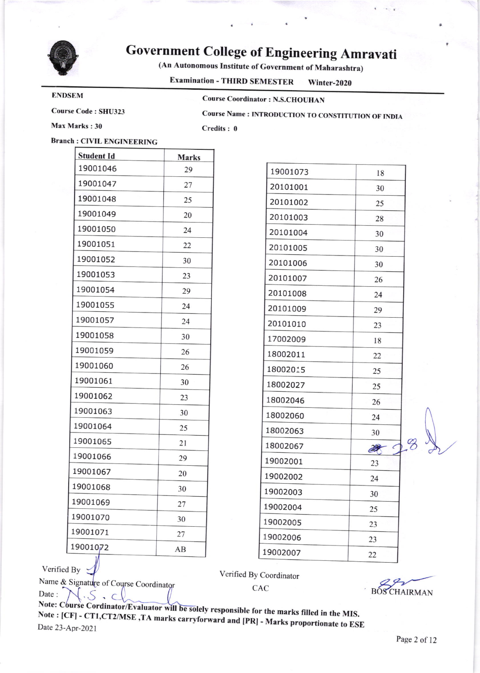

# Government College of Engineering Amravati

(An Autonomous Institute of Government of Maharashtra)

Examination - THIRD SEMESTER Winter\_2020

#### ENDSEM

Course Coordinator : N.S.CHOUHAN

Course Code : SHU323

Course Name : INTRODUCTION TO CONSTITUTION OF INDIA

Max Marks: 30

Credits: 0

# Branch : CIVIL ENGINEERING

| 19001046<br>29<br>19001047<br>27 |  |
|----------------------------------|--|
|                                  |  |
|                                  |  |
| 19001048<br>25                   |  |
| 19001049<br>20                   |  |
| 19001050<br>24                   |  |
| 19001051<br>22                   |  |
| 19001052<br>30                   |  |
| 19001053<br>23                   |  |
| 19001054<br>29                   |  |
| 19001055<br>24                   |  |
| 19001057<br>24                   |  |
| 19001058<br>30                   |  |
| 19001059<br>26                   |  |
| 19001060<br>26                   |  |
| 19001061<br>30                   |  |
| 19001062<br>23                   |  |
| 19001063<br>30                   |  |
| 19001064<br>25                   |  |
| 19001065<br>21                   |  |
| 19001066<br>29                   |  |
| 19001067<br>20                   |  |
| 19001068<br>30                   |  |
| 19001069<br>27                   |  |
| 19001070<br>30                   |  |
| 19001071<br>27                   |  |
| 19001072<br>AВ                   |  |

| 19001073 | 18             |  |
|----------|----------------|--|
| 20101001 | 30             |  |
| 20101002 | 25             |  |
| 20101003 | 28             |  |
| 20101004 | 30             |  |
| 20101005 | 30             |  |
| 20101006 | 30             |  |
| 20101007 | 26             |  |
| 20101008 | 24             |  |
| 20101009 | 29             |  |
| 20101010 | 23             |  |
| 17002009 | 18             |  |
| 18002011 | 22             |  |
| 18002015 | 25             |  |
| 18002027 | 25             |  |
| 18002046 | 26             |  |
| 18002060 | 24             |  |
| 18002063 | 30             |  |
| 18002067 | 2 <del>2</del> |  |
| 19002001 | 23             |  |
| 19002002 | 24             |  |
| 19002003 | 30             |  |
| 19002004 | 25             |  |
| 19002005 | 23             |  |
| 19002006 | 23             |  |
| 19002007 | 22             |  |

Verified By

Name & Signature of Course Coordinator Date:  $\bigwedge$  S . C

Verified By Coordinator

CAC BOSCHAIRMAN B

Note: Course Cordinator/Evaluator Note: Course Cordinator/Evaluator will be solely responsible for the marks filled in the MIS.<br>Note : [CF] - CT1.CT2/MSE, TA marks complement in the marks filled in the MIS. [CFl - CTI,CT2A,ISE ,TA marks carrvfo rward and [pRl - Marks proportionate to ESE Date 23-Apr-2021